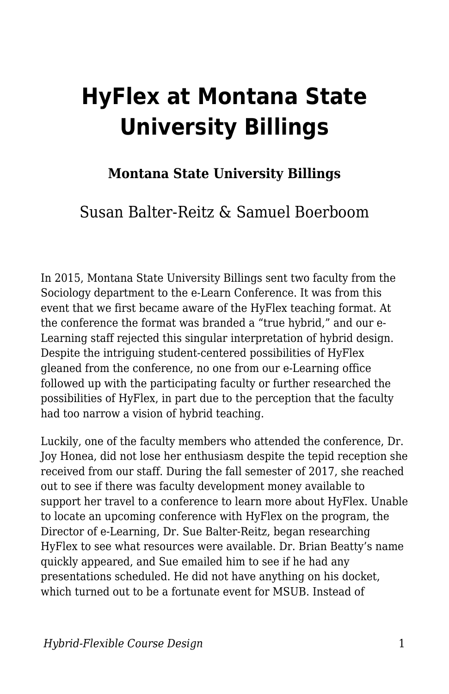# **HyFlex at Montana State University Billings**

#### **Montana State University Billings**

#### Susan Balter-Reitz & Samuel Boerboom

In 2015, Montana State University Billings sent two faculty from the Sociology department to the e-Learn Conference. It was from this event that we first became aware of the HyFlex teaching format. At the conference the format was branded a "true hybrid," and our e-Learning staff rejected this singular interpretation of hybrid design. Despite the intriguing student-centered possibilities of HyFlex gleaned from the conference, no one from our e-Learning office followed up with the participating faculty or further researched the possibilities of HyFlex, in part due to the perception that the faculty had too narrow a vision of hybrid teaching.

Luckily, one of the faculty members who attended the conference, Dr. Joy Honea, did not lose her enthusiasm despite the tepid reception she received from our staff. During the fall semester of 2017, she reached out to see if there was faculty development money available to support her travel to a conference to learn more about HyFlex. Unable to locate an upcoming conference with HyFlex on the program, the Director of e-Learning, Dr. Sue Balter-Reitz, began researching HyFlex to see what resources were available. Dr. Brian Beatty's name quickly appeared, and Sue emailed him to see if he had any presentations scheduled. He did not have anything on his docket, which turned out to be a fortunate event for MSUB. Instead of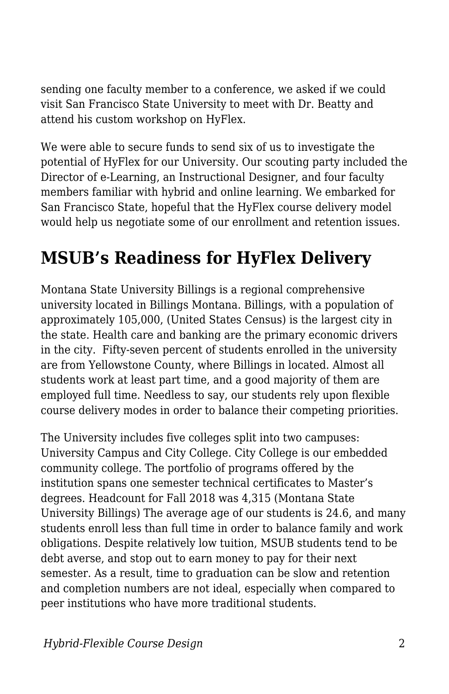sending one faculty member to a conference, we asked if we could visit San Francisco State University to meet with Dr. Beatty and attend his custom workshop on HyFlex.

We were able to secure funds to send six of us to investigate the potential of HyFlex for our University. Our scouting party included the Director of e-Learning, an Instructional Designer, and four faculty members familiar with hybrid and online learning. We embarked for San Francisco State, hopeful that the HyFlex course delivery model would help us negotiate some of our enrollment and retention issues.

### **MSUB's Readiness for HyFlex Delivery**

Montana State University Billings is a regional comprehensive university located in Billings Montana. Billings, with a population of approximately 105,000, (United States Census) is the largest city in the state. Health care and banking are the primary economic drivers in the city. Fifty-seven percent of students enrolled in the university are from Yellowstone County, where Billings in located. Almost all students work at least part time, and a good majority of them are employed full time. Needless to say, our students rely upon flexible course delivery modes in order to balance their competing priorities.

The University includes five colleges split into two campuses: University Campus and City College. City College is our embedded community college. The portfolio of programs offered by the institution spans one semester technical certificates to Master's degrees. Headcount for Fall 2018 was 4,315 (Montana State University Billings) The average age of our students is 24.6, and many students enroll less than full time in order to balance family and work obligations. Despite relatively low tuition, MSUB students tend to be debt averse, and stop out to earn money to pay for their next semester. As a result, time to graduation can be slow and retention and completion numbers are not ideal, especially when compared to peer institutions who have more traditional students.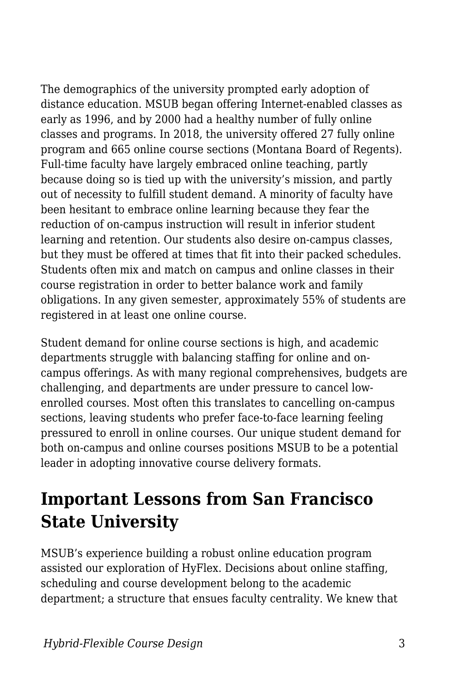The demographics of the university prompted early adoption of distance education. MSUB began offering Internet-enabled classes as early as 1996, and by 2000 had a healthy number of fully online classes and programs. In 2018, the university offered 27 fully online program and 665 online course sections (Montana Board of Regents). Full-time faculty have largely embraced online teaching, partly because doing so is tied up with the university's mission, and partly out of necessity to fulfill student demand. A minority of faculty have been hesitant to embrace online learning because they fear the reduction of on-campus instruction will result in inferior student learning and retention. Our students also desire on-campus classes, but they must be offered at times that fit into their packed schedules. Students often mix and match on campus and online classes in their course registration in order to better balance work and family obligations. In any given semester, approximately 55% of students are registered in at least one online course.

Student demand for online course sections is high, and academic departments struggle with balancing staffing for online and oncampus offerings. As with many regional comprehensives, budgets are challenging, and departments are under pressure to cancel lowenrolled courses. Most often this translates to cancelling on-campus sections, leaving students who prefer face-to-face learning feeling pressured to enroll in online courses. Our unique student demand for both on-campus and online courses positions MSUB to be a potential leader in adopting innovative course delivery formats.

#### **Important Lessons from San Francisco State University**

MSUB's experience building a robust online education program assisted our exploration of HyFlex. Decisions about online staffing, scheduling and course development belong to the academic department; a structure that ensues faculty centrality. We knew that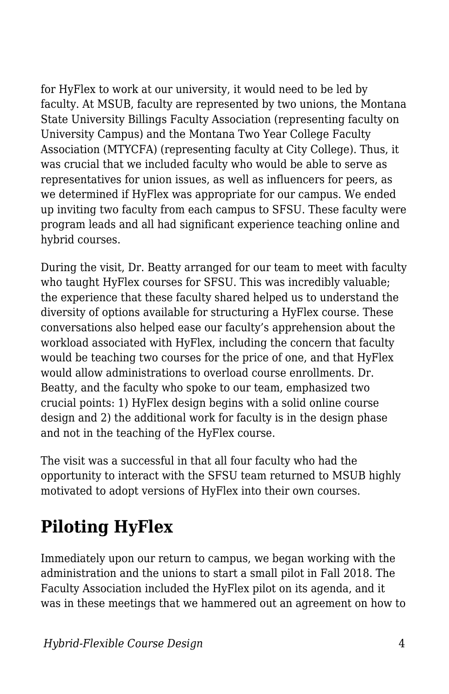for HyFlex to work at our university, it would need to be led by faculty. At MSUB, faculty are represented by two unions, the Montana State University Billings Faculty Association (representing faculty on University Campus) and the Montana Two Year College Faculty Association (MTYCFA) (representing faculty at City College). Thus, it was crucial that we included faculty who would be able to serve as representatives for union issues, as well as influencers for peers, as we determined if HyFlex was appropriate for our campus. We ended up inviting two faculty from each campus to SFSU. These faculty were program leads and all had significant experience teaching online and hybrid courses.

During the visit, Dr. Beatty arranged for our team to meet with faculty who taught HyFlex courses for SFSU. This was incredibly valuable; the experience that these faculty shared helped us to understand the diversity of options available for structuring a HyFlex course. These conversations also helped ease our faculty's apprehension about the workload associated with HyFlex, including the concern that faculty would be teaching two courses for the price of one, and that HyFlex would allow administrations to overload course enrollments. Dr. Beatty, and the faculty who spoke to our team, emphasized two crucial points: 1) HyFlex design begins with a solid online course design and 2) the additional work for faculty is in the design phase and not in the teaching of the HyFlex course.

The visit was a successful in that all four faculty who had the opportunity to interact with the SFSU team returned to MSUB highly motivated to adopt versions of HyFlex into their own courses.

## **Piloting HyFlex**

Immediately upon our return to campus, we began working with the administration and the unions to start a small pilot in Fall 2018. The Faculty Association included the HyFlex pilot on its agenda, and it was in these meetings that we hammered out an agreement on how to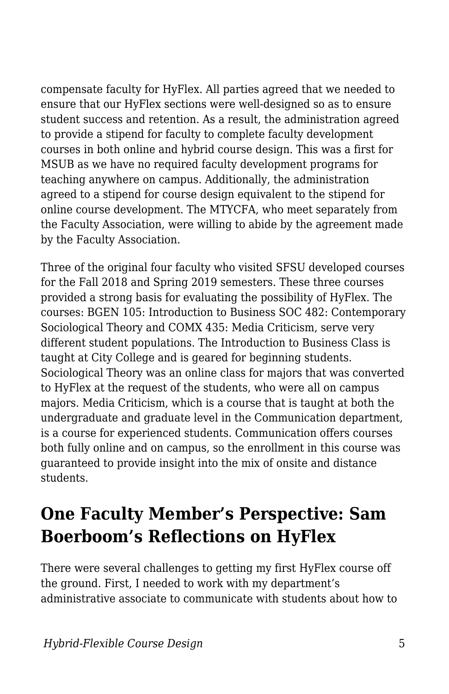compensate faculty for HyFlex. All parties agreed that we needed to ensure that our HyFlex sections were well-designed so as to ensure student success and retention. As a result, the administration agreed to provide a stipend for faculty to complete faculty development courses in both online and hybrid course design. This was a first for MSUB as we have no required faculty development programs for teaching anywhere on campus. Additionally, the administration agreed to a stipend for course design equivalent to the stipend for online course development. The MTYCFA, who meet separately from the Faculty Association, were willing to abide by the agreement made by the Faculty Association.

Three of the original four faculty who visited SFSU developed courses for the Fall 2018 and Spring 2019 semesters. These three courses provided a strong basis for evaluating the possibility of HyFlex. The courses: BGEN 105: Introduction to Business SOC 482: Contemporary Sociological Theory and COMX 435: Media Criticism, serve very different student populations. The Introduction to Business Class is taught at City College and is geared for beginning students. Sociological Theory was an online class for majors that was converted to HyFlex at the request of the students, who were all on campus majors. Media Criticism, which is a course that is taught at both the undergraduate and graduate level in the Communication department, is a course for experienced students. Communication offers courses both fully online and on campus, so the enrollment in this course was guaranteed to provide insight into the mix of onsite and distance students.

#### **One Faculty Member's Perspective: Sam Boerboom's Reflections on HyFlex**

There were several challenges to getting my first HyFlex course off the ground. First, I needed to work with my department's administrative associate to communicate with students about how to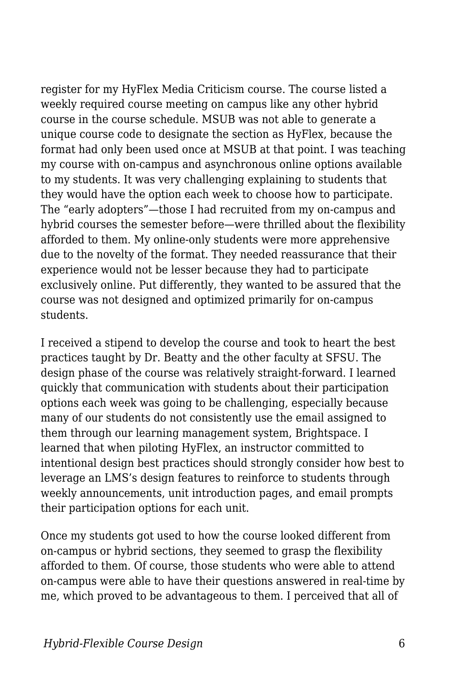register for my HyFlex Media Criticism course. The course listed a weekly required course meeting on campus like any other hybrid course in the course schedule. MSUB was not able to generate a unique course code to designate the section as HyFlex, because the format had only been used once at MSUB at that point. I was teaching my course with on-campus and asynchronous online options available to my students. It was very challenging explaining to students that they would have the option each week to choose how to participate. The "early adopters"—those I had recruited from my on-campus and hybrid courses the semester before—were thrilled about the flexibility afforded to them. My online-only students were more apprehensive due to the novelty of the format. They needed reassurance that their experience would not be lesser because they had to participate exclusively online. Put differently, they wanted to be assured that the course was not designed and optimized primarily for on-campus students.

I received a stipend to develop the course and took to heart the best practices taught by Dr. Beatty and the other faculty at SFSU. The design phase of the course was relatively straight-forward. I learned quickly that communication with students about their participation options each week was going to be challenging, especially because many of our students do not consistently use the email assigned to them through our learning management system, Brightspace. I learned that when piloting HyFlex, an instructor committed to intentional design best practices should strongly consider how best to leverage an LMS's design features to reinforce to students through weekly announcements, unit introduction pages, and email prompts their participation options for each unit.

Once my students got used to how the course looked different from on-campus or hybrid sections, they seemed to grasp the flexibility afforded to them. Of course, those students who were able to attend on-campus were able to have their questions answered in real-time by me, which proved to be advantageous to them. I perceived that all of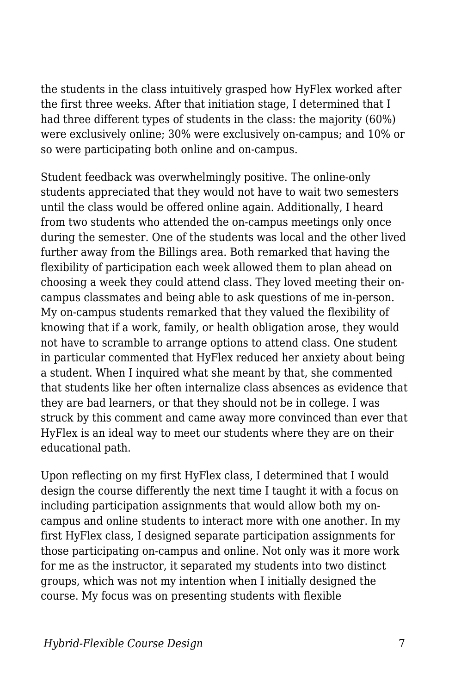the students in the class intuitively grasped how HyFlex worked after the first three weeks. After that initiation stage, I determined that I had three different types of students in the class: the majority (60%) were exclusively online; 30% were exclusively on-campus; and 10% or so were participating both online and on-campus.

Student feedback was overwhelmingly positive. The online-only students appreciated that they would not have to wait two semesters until the class would be offered online again. Additionally, I heard from two students who attended the on-campus meetings only once during the semester. One of the students was local and the other lived further away from the Billings area. Both remarked that having the flexibility of participation each week allowed them to plan ahead on choosing a week they could attend class. They loved meeting their oncampus classmates and being able to ask questions of me in-person. My on-campus students remarked that they valued the flexibility of knowing that if a work, family, or health obligation arose, they would not have to scramble to arrange options to attend class. One student in particular commented that HyFlex reduced her anxiety about being a student. When I inquired what she meant by that, she commented that students like her often internalize class absences as evidence that they are bad learners, or that they should not be in college. I was struck by this comment and came away more convinced than ever that HyFlex is an ideal way to meet our students where they are on their educational path.

Upon reflecting on my first HyFlex class, I determined that I would design the course differently the next time I taught it with a focus on including participation assignments that would allow both my oncampus and online students to interact more with one another. In my first HyFlex class, I designed separate participation assignments for those participating on-campus and online. Not only was it more work for me as the instructor, it separated my students into two distinct groups, which was not my intention when I initially designed the course. My focus was on presenting students with flexible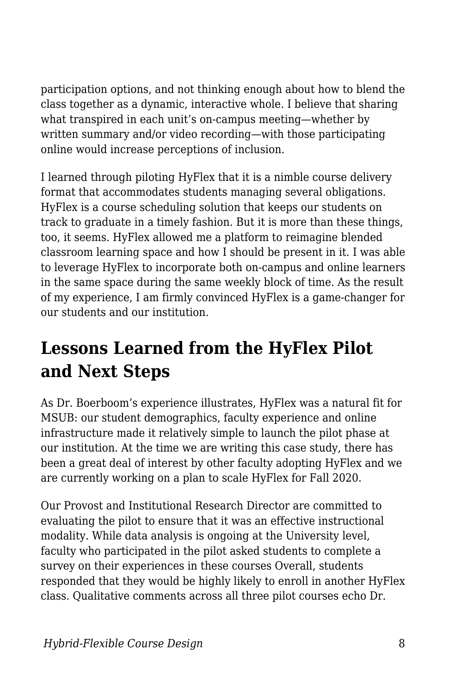participation options, and not thinking enough about how to blend the class together as a dynamic, interactive whole. I believe that sharing what transpired in each unit's on-campus meeting—whether by written summary and/or video recording—with those participating online would increase perceptions of inclusion.

I learned through piloting HyFlex that it is a nimble course delivery format that accommodates students managing several obligations. HyFlex is a course scheduling solution that keeps our students on track to graduate in a timely fashion. But it is more than these things, too, it seems. HyFlex allowed me a platform to reimagine blended classroom learning space and how I should be present in it. I was able to leverage HyFlex to incorporate both on-campus and online learners in the same space during the same weekly block of time. As the result of my experience, I am firmly convinced HyFlex is a game-changer for our students and our institution.

### **Lessons Learned from the HyFlex Pilot and Next Steps**

As Dr. Boerboom's experience illustrates, HyFlex was a natural fit for MSUB: our student demographics, faculty experience and online infrastructure made it relatively simple to launch the pilot phase at our institution. At the time we are writing this case study, there has been a great deal of interest by other faculty adopting HyFlex and we are currently working on a plan to scale HyFlex for Fall 2020.

Our Provost and Institutional Research Director are committed to evaluating the pilot to ensure that it was an effective instructional modality. While data analysis is ongoing at the University level, faculty who participated in the pilot asked students to complete a survey on their experiences in these courses Overall, students responded that they would be highly likely to enroll in another HyFlex class. Qualitative comments across all three pilot courses echo Dr.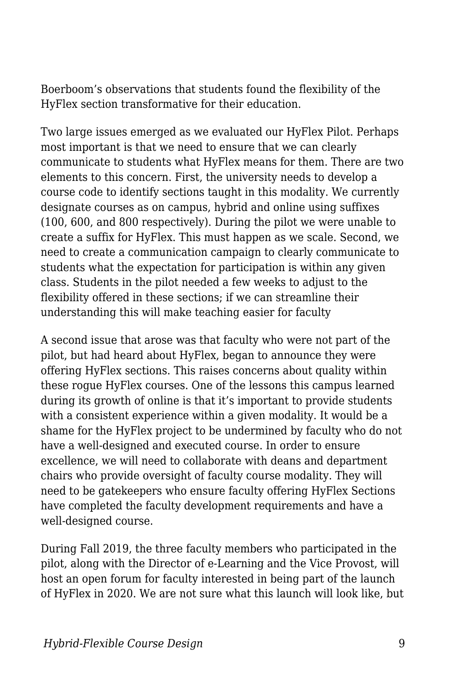Boerboom's observations that students found the flexibility of the HyFlex section transformative for their education.

Two large issues emerged as we evaluated our HyFlex Pilot. Perhaps most important is that we need to ensure that we can clearly communicate to students what HyFlex means for them. There are two elements to this concern. First, the university needs to develop a course code to identify sections taught in this modality. We currently designate courses as on campus, hybrid and online using suffixes (100, 600, and 800 respectively). During the pilot we were unable to create a suffix for HyFlex. This must happen as we scale. Second, we need to create a communication campaign to clearly communicate to students what the expectation for participation is within any given class. Students in the pilot needed a few weeks to adjust to the flexibility offered in these sections; if we can streamline their understanding this will make teaching easier for faculty

A second issue that arose was that faculty who were not part of the pilot, but had heard about HyFlex, began to announce they were offering HyFlex sections. This raises concerns about quality within these rogue HyFlex courses. One of the lessons this campus learned during its growth of online is that it's important to provide students with a consistent experience within a given modality. It would be a shame for the HyFlex project to be undermined by faculty who do not have a well-designed and executed course. In order to ensure excellence, we will need to collaborate with deans and department chairs who provide oversight of faculty course modality. They will need to be gatekeepers who ensure faculty offering HyFlex Sections have completed the faculty development requirements and have a well-designed course.

During Fall 2019, the three faculty members who participated in the pilot, along with the Director of e-Learning and the Vice Provost, will host an open forum for faculty interested in being part of the launch of HyFlex in 2020. We are not sure what this launch will look like, but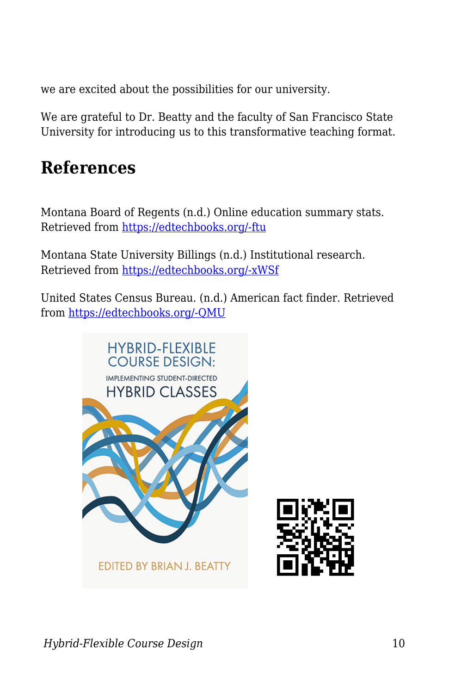we are excited about the possibilities for our university.

We are grateful to Dr. Beatty and the faculty of San Francisco State University for introducing us to this transformative teaching format.

#### **References**

Montana Board of Regents (n.d.) Online education summary stats. Retrieved from [https://edtechbooks.org/-ftu](https://mus.edu/board/meetings/2018/Sept2018/ARSA/eLearning-FY18.pdf)

Montana State University Billings (n.d.) Institutional research. Retrieved from [https://edtechbooks.org/-xWSf](https://www.msubillings.edu/ir/quickfacts/index.htm#Enrollment_by_College)

United States Census Bureau. (n.d.) American fact finder. Retrieved from [https://edtechbooks.org/-QMU](https://factfinder.census.gov/faces/nav/jsf/pages/community_facts.xhtml?src=bkmk)